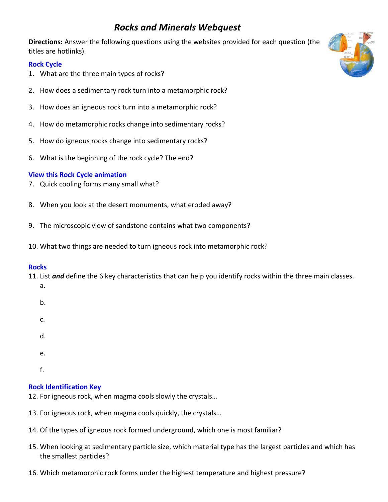# *Rocks and Minerals Webquest*

**Directions:** Answer the following questions using the websites provided for each question (the titles are hotlinks).

# **[Rock Cycle](http://www.cotf.edu/ete/modules/msese/earthsysflr/rock.html)**

- 1. What are the three main types of rocks?
- 2. How does a sedimentary rock turn into a metamorphic rock?
- 3. How does an igneous rock turn into a metamorphic rock?
- 4. How do metamorphic rocks change into sedimentary rocks?
- 5. How do igneous rocks change into sedimentary rocks?
- 6. What is the beginning of the rock cycle? The end?

## **[View this Rock Cycle animation](http://www.classzone.com/books/earth_science/terc/content/investigations/es0602/es0602page01.cfm)**

- 7. Quick cooling forms many small what?
- 8. When you look at the desert monuments, what eroded away?
- 9. The microscopic view of sandstone contains what two components?
- 10. What two things are needed to turn igneous rock into metamorphic rock?

## **[Rocks](http://www.learner.org/interactives/rockcycle/)**

- 11. List *and* define the 6 key characteristics that can help you identify rocks within the three main classes.
	- a.
	- b.
	- c.
	-
	- d.
	- e.
	- f.

# **Rock [Identification Key](http://www.minsocam.org/msa/collectors_corner/id/rock_key.htm#TOC)**

- 12. For igneous rock, when magma cools slowly the crystals…
- 13. For igneous rock, when magma cools quickly, the crystals…
- 14. Of the types of igneous rock formed underground, which one is most familiar?
- 15. When looking at sedimentary particle size, which material type has the largest particles and which has the smallest particles?
- 16. Which metamorphic rock forms under the highest temperature and highest pressure?